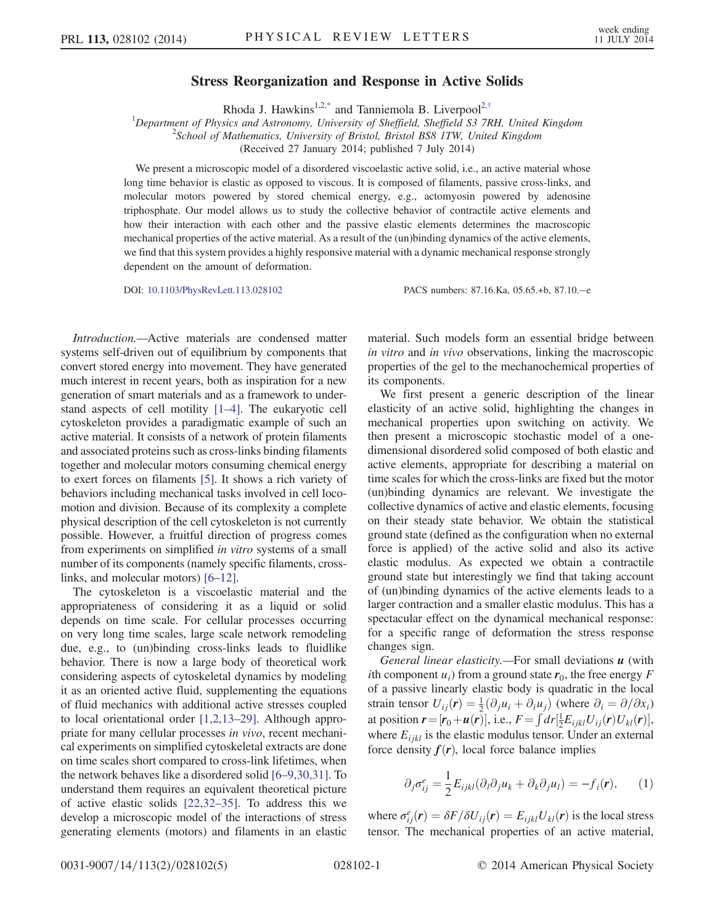## Stress Reorganization and Response in Active Solids

Rhoda J. Hawkins<sup>1,[2,\\*](#page-3-0)</sup> and Tanniemola B. Liverpool<sup>2,[†](#page-3-1)</sup>

<span id="page-0-1"></span><sup>1</sup>Department of Physics and Astronomy, University of Sheffield, Sheffield S3 7RH, United Kingdom  $\frac{2\text{Coker of}}{2\text{Coker of}}$  of Method western University of Drietal Distribution ITW, United Kingdom  $^{2}$ School of Mathematics, University of Bristol, Bristol BS8 1TW, United Kingdom

(Received 27 January 2014; published 7 July 2014)

We present a microscopic model of a disordered viscoelastic active solid, i.e., an active material whose long time behavior is elastic as opposed to viscous. It is composed of filaments, passive cross-links, and molecular motors powered by stored chemical energy, e.g., actomyosin powered by adenosine triphosphate. Our model allows us to study the collective behavior of contractile active elements and how their interaction with each other and the passive elastic elements determines the macroscopic mechanical properties of the active material. As a result of the (un)binding dynamics of the active elements, we find that this system provides a highly responsive material with a dynamic mechanical response strongly dependent on the amount of deformation.

DOI: [10.1103/PhysRevLett.113.028102](http://dx.doi.org/10.1103/PhysRevLett.113.028102) PACS numbers: 87.16.Ka, 05.65.+b, 87.10.−e

Introduction.—Active materials are condensed matter systems self-driven out of equilibrium by components that convert stored energy into movement. They have generated much interest in recent years, both as inspiration for a new generation of smart materials and as a framework to understand aspects of cell motility [1–[4\].](#page-3-2) The eukaryotic cell cytoskeleton provides a paradigmatic example of such an active material. It consists of a network of protein filaments and associated proteins such as cross-links binding filaments together and molecular motors consuming chemical energy to exert forces on filaments [\[5\].](#page-3-3) It shows a rich variety of behaviors including mechanical tasks involved in cell locomotion and division. Because of its complexity a complete physical description of the cell cytoskeleton is not currently possible. However, a fruitful direction of progress comes from experiments on simplified in vitro systems of a small number of its components (namely specific filaments, crosslinks, and molecular motors) [6–[12\]](#page-3-4).

The cytoskeleton is a viscoelastic material and the appropriateness of considering it as a liquid or solid depends on time scale. For cellular processes occurring on very long time scales, large scale network remodeling due, e.g., to (un)binding cross-links leads to fluidlike behavior. There is now a large body of theoretical work considering aspects of cytoskeletal dynamics by modeling it as an oriented active fluid, supplementing the equations of fluid mechanics with additional active stresses coupled to local orientational order [\[1,2,13](#page-3-2)–29]. Although appropriate for many cellular processes in vivo, recent mechanical experiments on simplified cytoskeletal extracts are done on time scales short compared to cross-link lifetimes, when the network behaves like a disordered solid [6–[9,30,31\]](#page-3-4). To understand them requires an equivalent theoretical picture of active elastic solids [\[22,32](#page-4-0)–35]. To address this we develop a microscopic model of the interactions of stress generating elements (motors) and filaments in an elastic material. Such models form an essential bridge between in vitro and in vivo observations, linking the macroscopic properties of the gel to the mechanochemical properties of its components.

We first present a generic description of the linear elasticity of an active solid, highlighting the changes in mechanical properties upon switching on activity. We then present a microscopic stochastic model of a onedimensional disordered solid composed of both elastic and active elements, appropriate for describing a material on time scales for which the cross-links are fixed but the motor (un)binding dynamics are relevant. We investigate the collective dynamics of active and elastic elements, focusing on their steady state behavior. We obtain the statistical ground state (defined as the configuration when no external force is applied) of the active solid and also its active elastic modulus. As expected we obtain a contractile ground state but interestingly we find that taking account of (un)binding dynamics of the active elements leads to a larger contraction and a smaller elastic modulus. This has a spectacular effect on the dynamical mechanical response: for a specific range of deformation the stress response changes sign.

General linear elasticity.—For small deviations  $u$  (with *i*th component  $u_i$ ) from a ground state  $r_0$ , the free energy F of a passive linearly elastic body is quadratic in the local strain tensor  $U_{ij}(\mathbf{r}) = \frac{1}{2} (\partial_j u_i + \partial_i u_j)$  (where  $\partial_i = \partial / \partial x_i$ ) at position  $\mathbf{r} = [\mathbf{r}_0 + \mathbf{u}(\mathbf{r})],$  i.e.,  $F = \int d\mathbf{r} \left[ \frac{1}{2} E_{ijkl} U_{ij}(\mathbf{r}) U_{kl}(\mathbf{r}) \right],$ where  $E_{ijkl}$  is the elastic modulus tensor. Under an external force density  $f(r)$ , local force balance implies

<span id="page-0-0"></span>
$$
\partial_j \sigma_{ij}^e = \frac{1}{2} E_{ijkl} (\partial_l \partial_j u_k + \partial_k \partial_j u_l) = -f_i(\mathbf{r}), \qquad (1)
$$

where  $\sigma_{ij}^e(\mathbf{r})=\delta F/\delta U_{ij}(\mathbf{r})=E_{ijkl}U_{kl}(\mathbf{r})$  is the local stress tensor. The mechanical properties of an active material,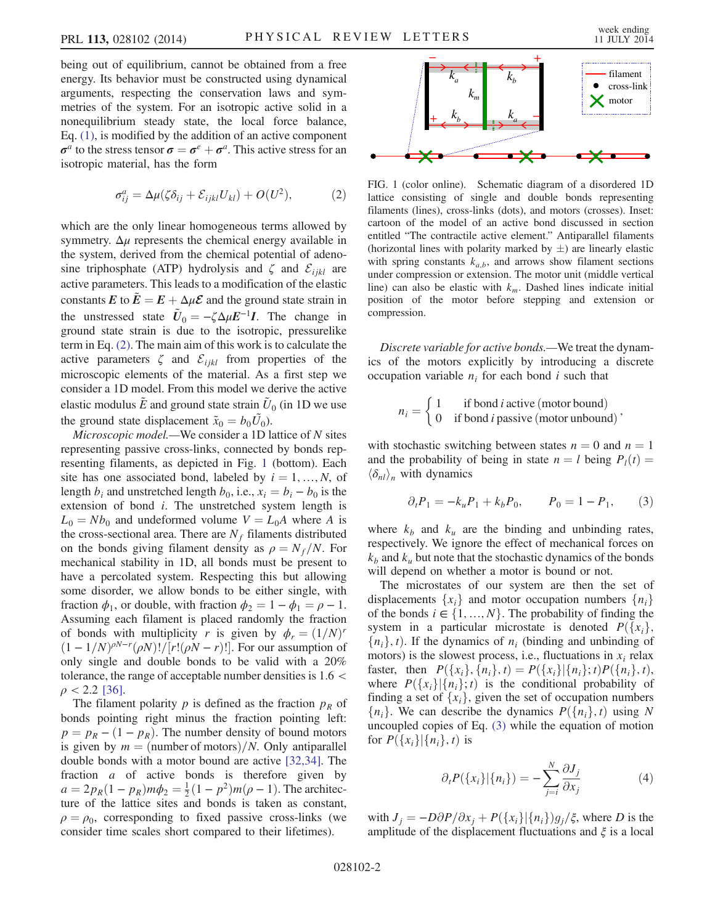being out of equilibrium, cannot be obtained from a free energy. Its behavior must be constructed using dynamical arguments, respecting the conservation laws and symmetries of the system. For an isotropic active solid in a nonequilibrium steady state, the local force balance, Eq. [\(1\),](#page-0-0) is modified by the addition of an active component  $\sigma^a$  to the stress tensor  $\sigma = \sigma^e + \sigma^a$ . This active stress for an isotropic material, has the form

<span id="page-1-0"></span>
$$
\sigma_{ij}^a = \Delta \mu (\zeta \delta_{ij} + \mathcal{E}_{ijkl} U_{kl}) + O(U^2), \tag{2}
$$

which are the only linear homogeneous terms allowed by symmetry.  $\Delta \mu$  represents the chemical energy available in the system, derived from the chemical potential of adenosine triphosphate (ATP) hydrolysis and  $\zeta$  and  $\mathcal{E}_{ijkl}$  are active parameters. This leads to a modification of the elastic constants E to  $\tilde{E} = E + \Delta \mu \mathcal{E}$  and the ground state strain in the unstressed state  $\tilde{U}_0 = -\zeta \Delta \mu E^{-1} I$ . The change in ground state strain is due to the isotropic, pressurelike term in Eq. [\(2\).](#page-1-0) The main aim of this work is to calculate the active parameters  $\zeta$  and  $\mathcal{E}_{ijkl}$  from properties of the microscopic elements of the material. As a first step we consider a 1D model. From this model we derive the active elastic modulus  $\tilde{E}$  and ground state strain  $\tilde{U}_0$  (in 1D we use the ground state displacement  $\tilde{x}_0 = b_0 \tilde{U}_0$ .

Microscopic model.—We consider a 1D lattice of N sites representing passive cross-links, connected by bonds representing filaments, as depicted in Fig. [1](#page-1-1) (bottom). Each site has one associated bond, labeled by  $i = 1, ..., N$ , of length  $b_i$  and unstretched length  $b_0$ , i.e.,  $x_i = b_i - b_0$  is the extension of bond  $i$ . The unstretched system length is  $L_0 = Nb_0$  and undeformed volume  $V = L_0A$  where A is the cross-sectional area. There are  $N_f$  filaments distributed on the bonds giving filament density as  $\rho = N_f/N$ . For mechanical stability in 1D, all bonds must be present to have a percolated system. Respecting this but allowing some disorder, we allow bonds to be either single, with fraction  $\phi_1$ , or double, with fraction  $\phi_2 = 1 - \phi_1 = \rho - 1$ . Assuming each filament is placed randomly the fraction of bonds with multiplicity r is given by  $\phi_r = (1/N)^r$  $(1 - 1/N)^{\rho N-r} (\rho N)!/[r!(\rho N - r)!]$ . For our assumption of only single and double bonds to be valid with a 20% tolerance, the range of acceptable number densities is 1.6 <  $\rho < 2.2$  [\[36\].](#page-4-1)

The filament polarity p is defined as the fraction  $p_R$  of bonds pointing right minus the fraction pointing left:  $p = p_R - (1 - p_R)$ . The number density of bound motors is given by  $m = \text{(number of motors)}/N$ . Only antiparallel double bonds with a motor bound are active [\[32,34\].](#page-4-2) The fraction  $a$  of active bonds is therefore given by  $a = 2p_R(1 - p_R)m\phi_2 = \frac{1}{2}(1 - p^2)m(\rho - 1)$ . The architecture of the lattice sites and bonds is taken as constant,  $\rho = \rho_0$ , corresponding to fixed passive cross-links (we consider time scales short compared to their lifetimes).

<span id="page-1-1"></span>

FIG. 1 (color online). Schematic diagram of a disordered 1D lattice consisting of single and double bonds representing filaments (lines), cross-links (dots), and motors (crosses). Inset: cartoon of the model of an active bond discussed in section entitled "The contractile active element." Antiparallel filaments (horizontal lines with polarity marked by  $\pm$ ) are linearly elastic with spring constants  $k_{a,b}$ , and arrows show filament sections under compression or extension. The motor unit (middle vertical line) can also be elastic with  $k_m$ . Dashed lines indicate initial position of the motor before stepping and extension or compression.

Discrete variable for active bonds.—We treat the dynamics of the motors explicitly by introducing a discrete occupation variable  $n_i$  for each bond i such that

$$
n_i = \begin{cases} 1 & \text{if bond } i \text{ active (motor bound)} \\ 0 & \text{if bond } i \text{ passive (motor unbound)} \end{cases}
$$

<span id="page-1-2"></span>with stochastic switching between states  $n = 0$  and  $n = 1$ and the probability of being in state  $n = l$  being  $P_l(t) =$  $\langle \delta_{nl} \rangle$  with dynamics

$$
\partial_t P_1 = -k_u P_1 + k_b P_0, \qquad P_0 = 1 - P_1,\tag{3}
$$

where  $k_b$  and  $k_u$  are the binding and unbinding rates, respectively. We ignore the effect of mechanical forces on  $k_b$  and  $k_u$  but note that the stochastic dynamics of the bonds will depend on whether a motor is bound or not.

The microstates of our system are then the set of displacements  $\{x_i\}$  and motor occupation numbers  $\{n_i\}$ of the bonds  $i \in \{1, ..., N\}$ . The probability of finding the system in a particular microstate is denoted  $P({x_i},$  ${n_i}$ , t). If the dynamics of  $n_i$  (binding and unbinding of motors) is the slowest process, i.e., fluctuations in  $x_i$  relax faster, then  $P({x_i}, {n_i}, t) = P({x_i} | {n_i}; t) P({n_i}, t)$ , where  $P({x_i}|\{n_i\}; t)$  is the conditional probability of finding a set of  $\{x_i\}$ , given the set of occupation numbers  ${n_i}$ . We can describe the dynamics  $P({n_i}, t)$  using N uncoupled copies of Eq. [\(3\)](#page-1-2) while the equation of motion for  $P({x_i}|\{n_i\}, t)$  is

$$
\partial_{t}P(\{x_{i}\}|\{n_{i}\}) = -\sum_{j=i}^{N} \frac{\partial J_{j}}{\partial x_{j}} \tag{4}
$$

with  $J_j = -D\partial P/\partial x_j + P(\lbrace x_i \rbrace | \lbrace n_i \rbrace) g_j/\xi$ , where D is the amplitude of the displacement fluctuations and  $\xi$  is a local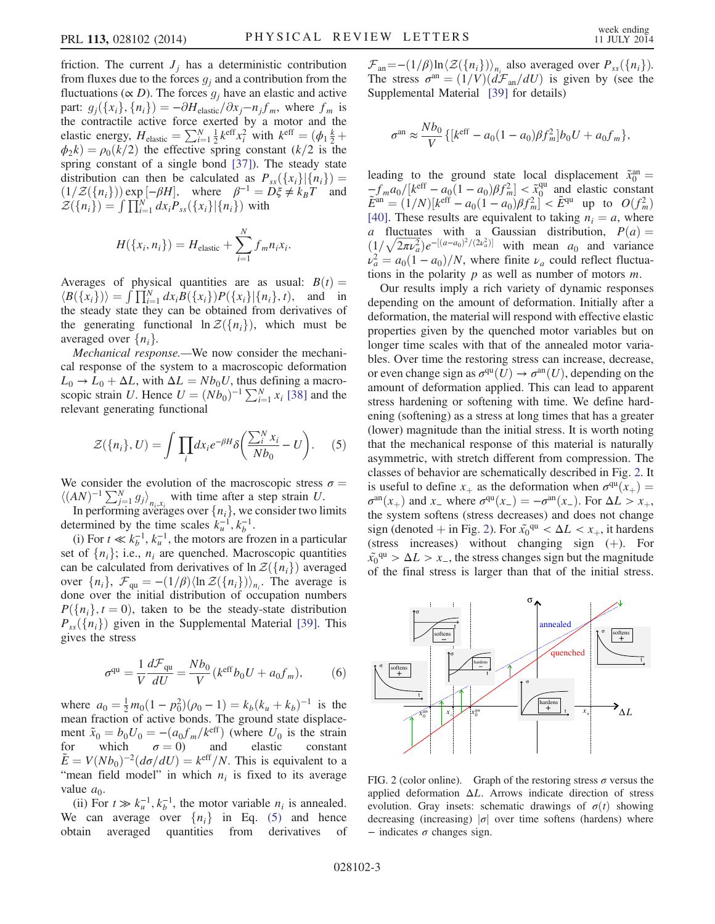friction. The current  $J_i$  has a deterministic contribution from fluxes due to the forces  $g_i$  and a contribution from the fluctuations ( $\propto$  D). The forces  $g_i$  have an elastic and active part:  $g_j(\{x_i\}, \{n_i\}) = -\partial H_{\text{elastic}}/\partial x_j - n_j f_m$ , where  $f_m$  is the contractile active force exerted by a motor and the elastic energy,  $H_{\text{elastic}} = \sum_{i=1}^{N} \frac{1}{2} k^{\text{eff}} x_i^2$  with  $k^{\text{eff}} = (\phi_1 \frac{k}{2})^2$  $\phi_2(k) = \rho_0(k/2)$  the effective spring constant  $(k/2)$  is the spring constant of a single bond [\[37\]\)](#page-4-3). The steady state distribution can then be calculated as  $P_{ss}(\{x_i\}|\{n_i\})=$  $(1/\mathcal{Z}(\lbrace n_i \rbrace))$  exp  $[-\beta H]$ , where  $\beta^{-1} = D\xi \neq k_B T$  and  $\mathcal{Z}(\{n_i\}) = \int \prod_{i=1}^N dx_i P_{ss}(\{x_i\}|\{n_i\})$  with

$$
H(\lbrace x_i, n_i \rbrace) = H_{\text{elastic}} + \sum_{i=1}^{N} f_m n_i x_i.
$$

Averages of physical quantities are as usual:  $B(t) =$  $\langle B(\lbrace x_i \rbrace) \rangle = \int \prod_{i=1}^N dx_i B(\lbrace x_i \rbrace) P(\lbrace x_i \rbrace | \lbrace n_i \rbrace, t),$  and in the steady state they can be obtained from derivatives of the generating functional  $\ln \mathcal{Z}(\{n_i\})$ , which must be averaged over  $\{n_i\}$ .

Mechanical response.—We now consider the mechanical response of the system to a macroscopic deformation  $L_0 \rightarrow L_0 + \Delta L$ , with  $\Delta L = N b_0 U$ , thus defining a macroscopic strain U. Hence  $U = (Nb_0)^{-1} \sum_{i=1}^{N} x_i$  [\[38\]](#page-4-4) and the relevant generating functional

<span id="page-2-0"></span>
$$
\mathcal{Z}(\{n_i\}, U) = \int \prod_i dx_i e^{-\beta H} \delta\left(\frac{\sum_i^N x_i}{N b_0} - U\right).
$$
 (5)

We consider the evolution of the macroscopic stress  $\sigma =$  $\langle (AN)^{-1} \sum_{j=1}^{N} g_j \rangle_{n_i, x_i}$  with time after a step strain U.

In performing averages over  $\{n_i\}$ , we consider two limits determined by the time scales  $k_u^{-1}$ ,  $k_b^{-1}$ .

(i) For  $t \ll k_b^{-1}$ ,  $k_u^{-1}$ , the motors are frozen in a particular set of  $\{n_i\}$ ; i.e.,  $n_i$  are quenched. Macroscopic quantities can be calculated from derivatives of  $\ln \mathcal{Z}(\lbrace n_i \rbrace)$  averaged over  $\{n_i\}$ ,  $\mathcal{F}_{qu} = -(1/\beta)\langle \ln \mathcal{Z}(\{n_i\})\rangle_{n_i}$ . The average is done over the initial distribution of occupation numbers  $P({n_i}, t = 0)$ , taken to be the steady-state distribution  $P_{ss}(\lbrace n_i \rbrace)$  given in the Supplemental Material [\[39\].](#page-4-5) This gives the stress

$$
\sigma^{\text{qu}} = \frac{1}{V} \frac{d\mathcal{F}_{\text{qu}}}{dU} = \frac{Nb_0}{V} (k^{\text{eff}} b_0 U + a_0 f_m), \tag{6}
$$

where  $a_0 = \frac{1}{2}m_0(1 - p_0^2)(\rho_0 - 1) = k_b(k_u + k_b)^{-1}$  is the mean fraction of active bonds. The ground state displacement  $\tilde{x}_0 = b_0 U_0 = -(a_0 f_m/k^{\text{eff}})$  (where  $U_0$  is the strain for which  $\sigma = 0$ ) and elastic constant  $\tilde{E}= V(Nb_0)^{-2}(d\sigma/dU)=k^{\text{eff}}/N$ . This is equivalent to a "mean field model" in which  $n_i$  is fixed to its average value  $a_0$ .

(ii) For  $t \gg k_u^{-1}$ ,  $k_b^{-1}$ , the motor variable  $n_i$  is annealed. We can average over  $\{n_i\}$  in Eq. [\(5\)](#page-2-0) and hence<br>obtain averaged quantities from derivatives of obtain averaged quantities from derivatives

 $\mathcal{F}_{an} = -(1/\beta)\ln\langle\mathcal{Z}(\lbrace n_i \rbrace)\rangle_{n_i}$  also averaged over  $P_{ss}(\lbrace n_i \rbrace)$ . The stress  $\sigma^{an} = (1/V)(d\mathcal{F}_{an}/dU)$  is given by (see the Supplemental Material [\[39\]](#page-4-5) for details)

$$
\sigma^{\text{an}} \approx \frac{N b_0}{V} \{ \left[ k^{\text{eff}} - a_0 (1 - a_0) \beta f_m^2 \right] b_0 U + a_0 f_m \},\
$$

leading to the ground state local displacement  $\tilde{x}_0^{\text{an}} =$  $-\frac{f_{m}a_{0}}{k^{2}}$  =  $a_{0}(1-a_{0})\beta f_{m}^{2}$   $\leq \frac{\tilde{\chi}_{0}^{qu}}{k^{2}}$  and elastic constant  $\tilde{E}^{\text{an}} = (1/N)[k^{\text{eff}} - a_0(1 - a_0)\beta f_m^2] < \tilde{E}^{\text{qu}}$  up to  $O(f_m^2)$ [\[40\]](#page-4-6). These results are equivalent to taking  $n_i = a$ , where a fluctuates with a Gaussian distribution,  $P(a) =$  $\left( \frac{1}{\sqrt{2\pi\nu_a^2}} \right) e^{-\left[ (a-a_0)^2/(2\nu_a^2) \right]}$  with mean  $a_0$  and variance  $\nu_a^2 = a_0(1 - a_0)/N$ , where finite  $\nu_a$  could reflect fluctuations in the polarity  $p$  as well as number of motors  $m$ .

Our results imply a rich variety of dynamic responses depending on the amount of deformation. Initially after a deformation, the material will respond with effective elastic properties given by the quenched motor variables but on longer time scales with that of the annealed motor variables. Over time the restoring stress can increase, decrease, or even change sign as  $\sigma^{qu}(U) \to \sigma^{an}(U)$ , depending on the amount of deformation applied. This can lead to apparent stress hardening or softening with time. We define hardening (softening) as a stress at long times that has a greater (lower) magnitude than the initial stress. It is worth noting that the mechanical response of this material is naturally asymmetric, with stretch different from compression. The classes of behavior are schematically described in Fig. [2.](#page-2-1) It is useful to define  $x_+$  as the deformation when  $\sigma^{qu}(x_+) =$  $\sigma^{an}(x_+)$  and x<sub>−</sub> where  $\sigma^{qu}(x_-) = -\sigma^{an}(x_-)$ . For  $\Delta L > x_+$ , the system softens (stress decreases) and does not change sign (denoted + in Fig. [2](#page-2-1)). For  $\tilde{x}_0^{\text{qu}} < \Delta L < x_+$ , it hardens (stress increases) without changing sign  $(+)$ . For  $x_0^{\text{qu}} > \Delta L > x_$ , the stress changes sign but the magnitude of the final stress is larger than that of the initial stress.

<span id="page-2-1"></span>

FIG. 2 (color online). Graph of the restoring stress  $\sigma$  versus the applied deformation  $\Delta L$ . Arrows indicate direction of stress evolution. Gray insets: schematic drawings of  $\sigma(t)$  showing decreasing (increasing)  $|\sigma|$  over time softens (hardens) where  $-$  indicates  $\sigma$  changes sign.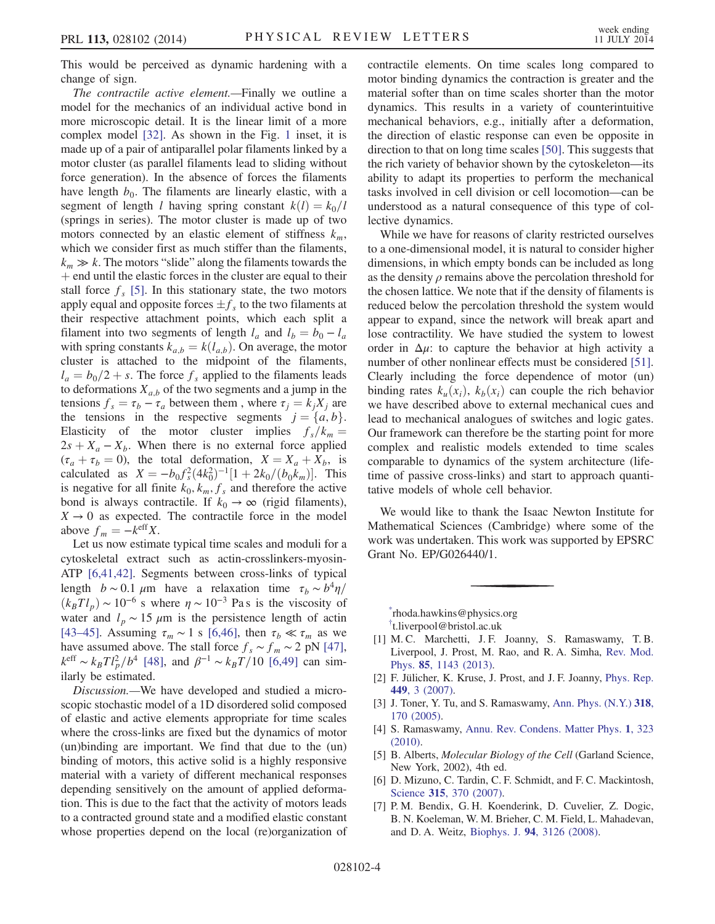This would be perceived as dynamic hardening with a change of sign.

The contractile active element.—Finally we outline a model for the mechanics of an individual active bond in more microscopic detail. It is the linear limit of a more complex model [\[32\].](#page-4-2) As shown in the Fig. [1](#page-1-1) inset, it is made up of a pair of antiparallel polar filaments linked by a motor cluster (as parallel filaments lead to sliding without force generation). In the absence of forces the filaments have length  $b_0$ . The filaments are linearly elastic, with a segment of length l having spring constant  $k(l) = k_0/l$ (springs in series). The motor cluster is made up of two motors connected by an elastic element of stiffness  $k_m$ , which we consider first as much stiffer than the filaments,  $k_m \gg k$ . The motors "slide" along the filaments towards the  $+$  end until the elastic forces in the cluster are equal to their stall force  $f_s$  [\[5\].](#page-3-3) In this stationary state, the two motors apply equal and opposite forces  $\pm f_s$  to the two filaments at their respective attachment points, which each split a filament into two segments of length  $l_a$  and  $l_b = b_0 - l_a$ with spring constants  $k_{a,b} = k(l_{a,b})$ . On average, the motor cluster is attached to the midpoint of the filaments,  $l_a = b_0/2 + s$ . The force  $f_s$  applied to the filaments leads to deformations  $X_{a,b}$  of the two segments and a jump in the tensions  $f_s = \tau_b - \tau_a$  between them, where  $\tau_i = k_i X_i$  are the tensions in the respective segments  $j = \{a, b\}.$ Elasticity of the motor cluster implies  $f_s/k_m =$  $2s + X_a - X_b$ . When there is no external force applied  $(\tau_a + \tau_b = 0)$ , the total deformation,  $X = X_a + X_b$ , is calculated as  $X = -b_0 f_s^2 (4k_0^2)^{-1} [1 + 2k_0/(b_0 k_m)].$  This is negative for all finite  $k_0$ ,  $k_m$ ,  $f_s$  and therefore the active bond is always contractile. If  $k_0 \rightarrow \infty$  (rigid filaments),  $X \rightarrow 0$  as expected. The contractile force in the model above  $f_m = -k^{\text{eff}}X$ .

Let us now estimate typical time scales and moduli for a cytoskeletal extract such as actin-crosslinkers-myosin-ATP [\[6,41,42\].](#page-3-4) Segments between cross-links of typical length  $b \sim 0.1 \mu$ m have a relaxation time  $\tau_b \sim b^4 \eta$ /  $(k_BTl_p) \sim 10^{-6}$  s where  $\eta \sim 10^{-3}$  Pas is the viscosity of water and  $l_p \sim 15 \mu m$  is the persistence length of actin [\[43](#page-4-7)–45]. Assuming  $\tau_m \sim 1$  s [\[6,46\]](#page-3-4), then  $\tau_b \ll \tau_m$  as we have assumed above. The stall force  $f_s \sim f_m \sim 2$  pN [\[47\]](#page-4-8),  $k^{\text{eff}} \sim k_B T l_p^2 / b^4$  [\[48\]](#page-4-9), and  $\beta^{-1} \sim k_B T / 10$  [\[6,49\]](#page-3-4) can similarly be estimated.

Discussion.—We have developed and studied a microscopic stochastic model of a 1D disordered solid composed of elastic and active elements appropriate for time scales where the cross-links are fixed but the dynamics of motor (un)binding are important. We find that due to the (un) binding of motors, this active solid is a highly responsive material with a variety of different mechanical responses depending sensitively on the amount of applied deformation. This is due to the fact that the activity of motors leads to a contracted ground state and a modified elastic constant whose properties depend on the local (re)organization of contractile elements. On time scales long compared to motor binding dynamics the contraction is greater and the material softer than on time scales shorter than the motor dynamics. This results in a variety of counterintuitive mechanical behaviors, e.g., initially after a deformation, the direction of elastic response can even be opposite in direction to that on long time scales [\[50\]](#page-4-10). This suggests that the rich variety of behavior shown by the cytoskeleton—its ability to adapt its properties to perform the mechanical tasks involved in cell division or cell locomotion—can be understood as a natural consequence of this type of collective dynamics.

While we have for reasons of clarity restricted ourselves to a one-dimensional model, it is natural to consider higher dimensions, in which empty bonds can be included as long as the density  $\rho$  remains above the percolation threshold for the chosen lattice. We note that if the density of filaments is reduced below the percolation threshold the system would appear to expand, since the network will break apart and lose contractility. We have studied the system to lowest order in  $\Delta \mu$ : to capture the behavior at high activity a number of other nonlinear effects must be considered [\[51\]](#page-4-11). Clearly including the force dependence of motor (un) binding rates  $k_u(x_i)$ ,  $k_b(x_i)$  can couple the rich behavior we have described above to external mechanical cues and lead to mechanical analogues of switches and logic gates. Our framework can therefore be the starting point for more complex and realistic models extended to time scales comparable to dynamics of the system architecture (lifetime of passive cross-links) and start to approach quantitative models of whole cell behavior.

We would like to thank the Isaac Newton Institute for Mathematical Sciences (Cambridge) where some of the work was undertaken. This work was supported by EPSRC Grant No. EP/G026440/1.

<span id="page-3-2"></span><span id="page-3-1"></span><span id="page-3-0"></span>[\\*](#page-0-1) rhoda.hawkins@physics.org [†](#page-0-1) t.liverpool@bristol.ac.uk

- [1] M. C. Marchetti, J. F. Joanny, S. Ramaswamy, T. B. Liverpool, J. Prost, M. Rao, and R. A. Simha, [Rev. Mod.](http://dx.doi.org/10.1103/RevModPhys.85.1143) Phys. 85[, 1143 \(2013\).](http://dx.doi.org/10.1103/RevModPhys.85.1143)
- [2] F. Jülicher, K. Kruse, J. Prost, and J. F. Joanny, [Phys. Rep.](http://dx.doi.org/10.1016/j.physrep.2007.02.018) 449[, 3 \(2007\).](http://dx.doi.org/10.1016/j.physrep.2007.02.018)
- [3] J. Toner, Y. Tu, and S. Ramaswamy, [Ann. Phys. \(N.Y.\)](http://dx.doi.org/10.1016/j.aop.2005.04.011) 318, [170 \(2005\)](http://dx.doi.org/10.1016/j.aop.2005.04.011).
- <span id="page-3-3"></span>[4] S. Ramaswamy, [Annu. Rev. Condens. Matter Phys.](http://dx.doi.org/10.1146/annurev-conmatphys-070909-104101) 1, 323 [\(2010\).](http://dx.doi.org/10.1146/annurev-conmatphys-070909-104101)
- <span id="page-3-4"></span>[5] B. Alberts, Molecular Biology of the Cell (Garland Science, New York, 2002), 4th ed.
- [6] D. Mizuno, C. Tardin, C. F. Schmidt, and F. C. Mackintosh, Science 315[, 370 \(2007\)](http://dx.doi.org/10.1126/science.1134404).
- [7] P. M. Bendix, G. H. Koenderink, D. Cuvelier, Z. Dogic, B. N. Koeleman, W. M. Brieher, C. M. Field, L. Mahadevan, and D. A. Weitz, Biophys. J. 94[, 3126 \(2008\)](http://dx.doi.org/10.1529/biophysj.107.117960).